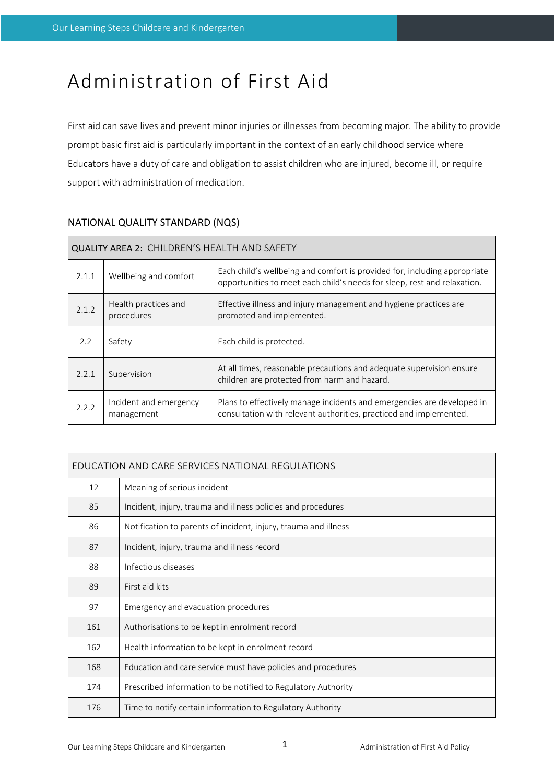# Administration of First Aid

First aid can save lives and prevent minor injuries or illnesses from becoming major. The ability to provide prompt basic first aid is particularly important in the context of an early childhood service where Educators have a duty of care and obligation to assist children who are injured, become ill, or require support with administration of medication.

| <b>QUALITY AREA 2: CHILDREN'S HEALTH AND SAFETY</b> |                                      |                                                                                                                                                       |  |  |  |
|-----------------------------------------------------|--------------------------------------|-------------------------------------------------------------------------------------------------------------------------------------------------------|--|--|--|
| 2.1.1                                               | Wellbeing and comfort                | Each child's wellbeing and comfort is provided for, including appropriate<br>opportunities to meet each child's needs for sleep, rest and relaxation. |  |  |  |
| 2.1.2                                               | Health practices and<br>procedures   | Effective illness and injury management and hygiene practices are<br>promoted and implemented.                                                        |  |  |  |
| 2.2                                                 | Safety                               | Each child is protected.                                                                                                                              |  |  |  |
| 2.2.1                                               | Supervision                          | At all times, reasonable precautions and adequate supervision ensure<br>children are protected from harm and hazard.                                  |  |  |  |
| 2.2.2                                               | Incident and emergency<br>management | Plans to effectively manage incidents and emergencies are developed in<br>consultation with relevant authorities, practiced and implemented.          |  |  |  |

# NATIONAL QUALITY STANDARD (NQS)

| EDUCATION AND CARE SERVICES NATIONAL REGULATIONS |                                                                 |  |  |  |
|--------------------------------------------------|-----------------------------------------------------------------|--|--|--|
| 12                                               | Meaning of serious incident                                     |  |  |  |
| 85                                               | Incident, injury, trauma and illness policies and procedures    |  |  |  |
| 86                                               | Notification to parents of incident, injury, trauma and illness |  |  |  |
| 87                                               | Incident, injury, trauma and illness record                     |  |  |  |
| 88                                               | Infectious diseases                                             |  |  |  |
| 89                                               | First aid kits                                                  |  |  |  |
| 97                                               | Emergency and evacuation procedures                             |  |  |  |
| 161                                              | Authorisations to be kept in enrolment record                   |  |  |  |
| 162                                              | Health information to be kept in enrolment record               |  |  |  |
| 168                                              | Education and care service must have policies and procedures    |  |  |  |
| 174                                              | Prescribed information to be notified to Regulatory Authority   |  |  |  |
| 176                                              | Time to notify certain information to Regulatory Authority      |  |  |  |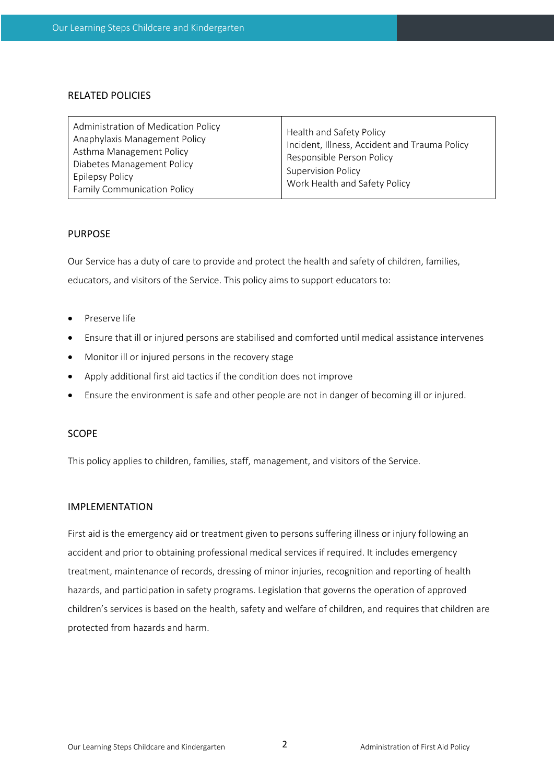#### RELATED POLICIES

| Administration of Medication Policy<br>Anaphylaxis Management Policy<br>Asthma Management Policy<br>Diabetes Management Policy<br><b>Epilepsy Policy</b><br><b>Family Communication Policy</b> | Health and Safety Policy<br>Incident, Illness, Accident and Trauma Policy<br>Responsible Person Policy<br><b>Supervision Policy</b><br>Work Health and Safety Policy |
|------------------------------------------------------------------------------------------------------------------------------------------------------------------------------------------------|----------------------------------------------------------------------------------------------------------------------------------------------------------------------|
|------------------------------------------------------------------------------------------------------------------------------------------------------------------------------------------------|----------------------------------------------------------------------------------------------------------------------------------------------------------------------|

#### PURPOSE

Our Service has a duty of care to provide and protect the health and safety of children, families, educators, and visitors of the Service. This policy aims to support educators to:

- Preserve life
- Ensure that ill or injured persons are stabilised and comforted until medical assistance intervenes
- Monitor ill or injured persons in the recovery stage
- Apply additional first aid tactics if the condition does not improve
- Ensure the environment is safe and other people are not in danger of becoming ill or injured.

#### **SCOPE**

This policy applies to children, families, staff, management, and visitors of the Service.

#### IMPLEMENTATION

First aid is the emergency aid or treatment given to persons suffering illness or injury following an accident and prior to obtaining professional medical services if required. It includes emergency treatment, maintenance of records, dressing of minor injuries, recognition and reporting of health hazards, and participation in safety programs. Legislation that governs the operation of approved children's services is based on the health, safety and welfare of children, and requires that children are protected from hazards and harm.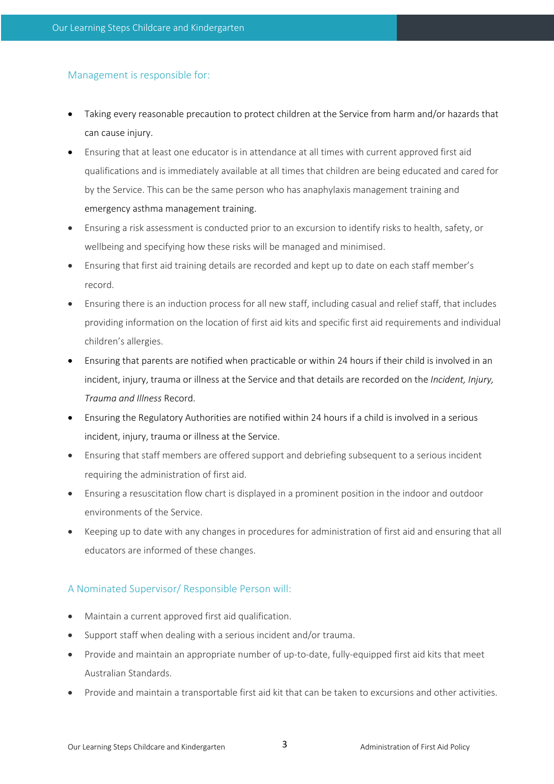## Management is responsible for:

- Taking every reasonable precaution to protect children at the Service from harm and/or hazards that can cause injury.
- Ensuring that at least one educator is in attendance at all times with current approved first aid qualifications and is immediately available at all times that children are being educated and cared for by the Service. This can be the same person who has anaphylaxis management training and emergency asthma management training.
- Ensuring a risk assessment is conducted prior to an excursion to identify risks to health, safety, or wellbeing and specifying how these risks will be managed and minimised.
- Ensuring that first aid training details are recorded and kept up to date on each staff member's record.
- Ensuring there is an induction process for all new staff, including casual and relief staff, that includes providing information on the location of first aid kits and specific first aid requirements and individual children's allergies.
- Ensuring that parents are notified when practicable or within 24 hours if their child is involved in an incident, injury, trauma or illness at the Service and that details are recorded on the *Incident, Injury, Trauma and Illness* Record.
- Ensuring the Regulatory Authorities are notified within 24 hours if a child is involved in a serious incident, injury, trauma or illness at the Service.
- Ensuring that staff members are offered support and debriefing subsequent to a serious incident requiring the administration of first aid.
- Ensuring a resuscitation flow chart is displayed in a prominent position in the indoor and outdoor environments of the Service.
- Keeping up to date with any changes in procedures for administration of first aid and ensuring that all educators are informed of these changes.

## A Nominated Supervisor/ Responsible Person will:

- Maintain a current approved first aid qualification.
- Support staff when dealing with a serious incident and/or trauma.
- Provide and maintain an appropriate number of up-to-date, fully-equipped first aid kits that meet Australian Standards.
- Provide and maintain a transportable first aid kit that can be taken to excursions and other activities.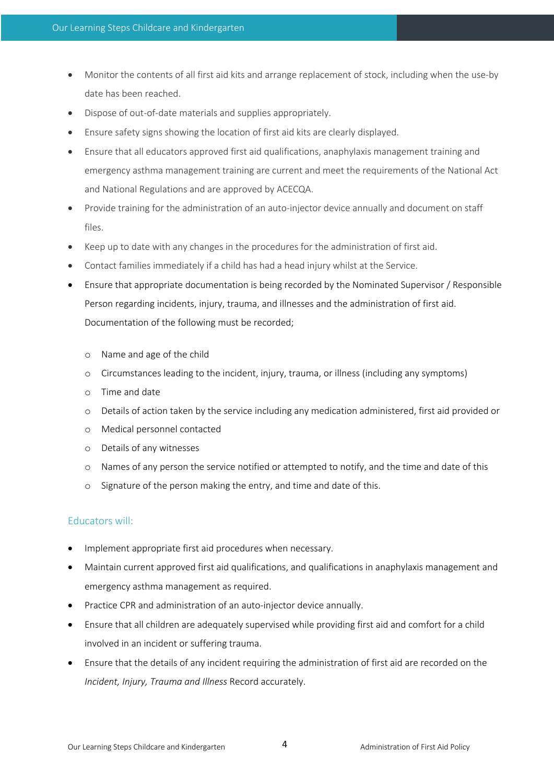- Monitor the contents of all first aid kits and arrange replacement of stock, including when the use-by date has been reached.
- Dispose of out-of-date materials and supplies appropriately.
- Ensure safety signs showing the location of first aid kits are clearly displayed.
- Ensure that all educators approved first aid qualifications, anaphylaxis management training and emergency asthma management training are current and meet the requirements of the National Act and National Regulations and are approved by ACECQA.
- Provide training for the administration of an auto-injector device annually and document on staff files.
- Keep up to date with any changes in the procedures for the administration of first aid.
- Contact families immediately if a child has had a head injury whilst at the Service.
- Ensure that appropriate documentation is being recorded by the Nominated Supervisor / Responsible Person regarding incidents, injury, trauma, and illnesses and the administration of first aid. Documentation of the following must be recorded;
	- o Name and age of the child
	- o Circumstances leading to the incident, injury, trauma, or illness (including any symptoms)
	- o Time and date
	- o Details of action taken by the service including any medication administered, first aid provided or
	- o Medical personnel contacted
	- o Details of any witnesses
	- o Names of any person the service notified or attempted to notify, and the time and date of this
	- o Signature of the person making the entry, and time and date of this.

## Educators will:

- Implement appropriate first aid procedures when necessary.
- Maintain current approved first aid qualifications, and qualifications in anaphylaxis management and emergency asthma management as required.
- Practice CPR and administration of an auto-injector device annually.
- Ensure that all children are adequately supervised while providing first aid and comfort for a child involved in an incident or suffering trauma.
- Ensure that the details of any incident requiring the administration of first aid are recorded on the *Incident, Injury, Trauma and Illness* Record accurately.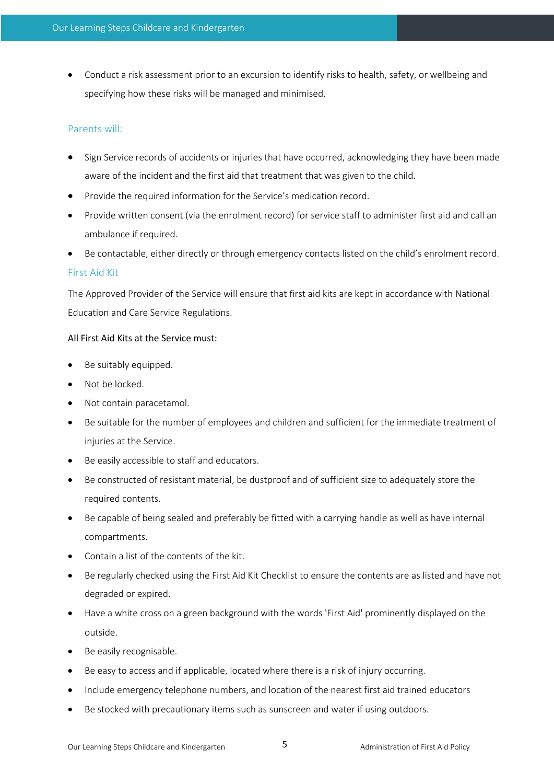• Conduct a risk assessment prior to an excursion to identify risks to health, safety, or wellbeing and specifying how these risks will be managed and minimised.

## Parents will:

- Sign Service records of accidents or injuries that have occurred, acknowledging they have been made aware of the incident and the first aid that treatment that was given to the child.
- Provide the required information for the Service's medication record.
- Provide written consent (via the enrolment record) for service staff to administer first aid and call an ambulance if required.
- Be contactable, either directly or through emergency contacts listed on the child's enrolment record.

## First Aid Kit

The Approved Provider of the Service will ensure that first aid kits are kept in accordance with National Education and Care Service Regulations.

#### All First Aid Kits at the Service must:

- Be suitably equipped.
- Not be locked.
- Not contain paracetamol.
- Be suitable for the number of employees and children and sufficient for the immediate treatment of injuries at the Service.
- Be easily accessible to staff and educators.
- Be constructed of resistant material, be dustproof and of sufficient size to adequately store the required contents.
- Be capable of being sealed and preferably be fitted with a carrying handle as well as have internal compartments.
- Contain a list of the contents of the kit.
- Be regularly checked using the First Aid Kit Checklist to ensure the contents are as listed and have not degraded or expired.
- Have a white cross on a green background with the words 'First Aid' prominently displayed on the outside.
- Be easily recognisable.
- Be easy to access and if applicable, located where there is a risk of injury occurring.
- Include emergency telephone numbers, and location of the nearest first aid trained educators
- Be stocked with precautionary items such as sunscreen and water if using outdoors.